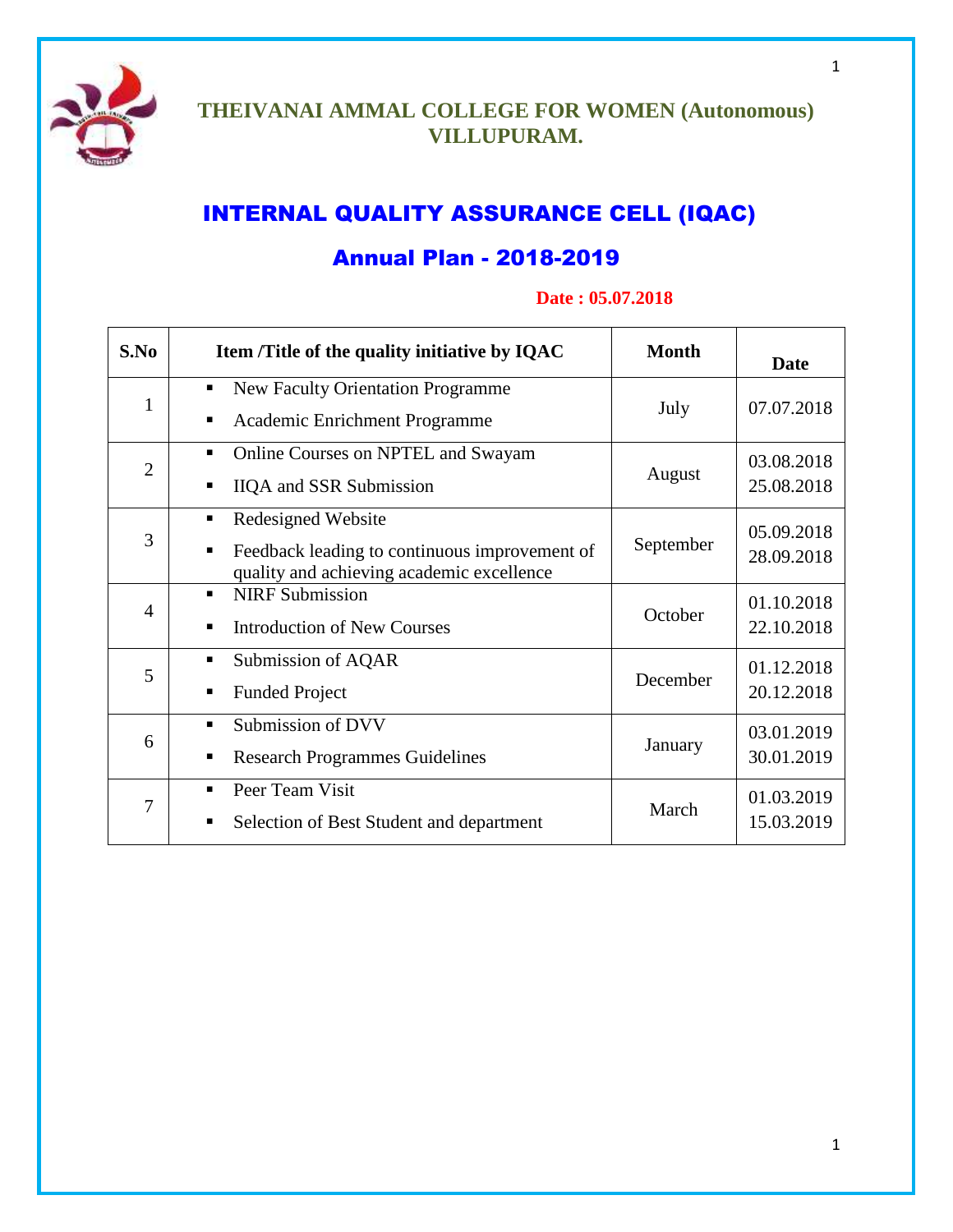

# **THEIVANAI AMMAL COLLEGE FOR WOMEN (Autonomous) VILLUPURAM.**

# INTERNAL QUALITY ASSURANCE CELL (IQAC)

# Annual Plan - 2018-2019

# **Date : 05.07.2018**

| S.No           | Item /Title of the quality initiative by IQAC                                                                              | <b>Month</b> | <b>Date</b>              |
|----------------|----------------------------------------------------------------------------------------------------------------------------|--------------|--------------------------|
| 1              | <b>New Faculty Orientation Programme</b><br>٠<br>Academic Enrichment Programme                                             | July         | 07.07.2018               |
| $\overline{2}$ | Online Courses on NPTEL and Swayam<br>٠<br><b>IIQA</b> and SSR Submission<br>٠                                             | August       | 03.08.2018<br>25.08.2018 |
| 3              | Redesigned Website<br>٠<br>Feedback leading to continuous improvement of<br>п<br>quality and achieving academic excellence | September    | 05.09.2018<br>28.09.2018 |
| $\overline{4}$ | <b>NIRF</b> Submission<br><b>Introduction of New Courses</b>                                                               | October      | 01.10.2018<br>22.10.2018 |
| 5              | Submission of AQAR<br>٠<br><b>Funded Project</b><br>п                                                                      | December     | 01.12.2018<br>20.12.2018 |
| 6              | Submission of DVV<br><b>Research Programmes Guidelines</b><br>п                                                            | January      | 03.01.2019<br>30.01.2019 |
| 7              | Peer Team Visit<br>Selection of Best Student and department<br>п                                                           | March        | 01.03.2019<br>15.03.2019 |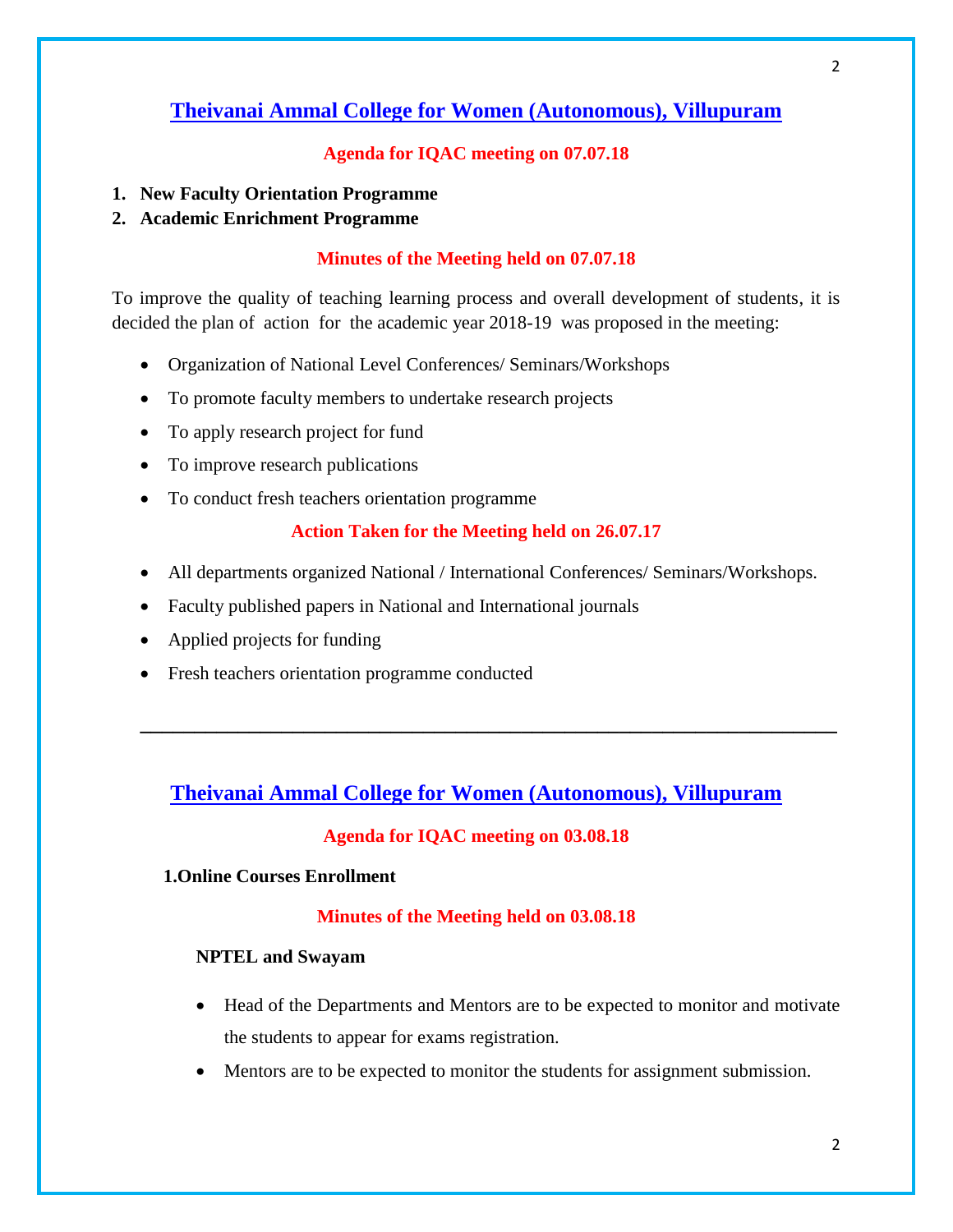# **Agenda for IQAC meeting on 07.07.18**

- **1. New Faculty Orientation Programme**
- **2. Academic Enrichment Programme**

### **Minutes of the Meeting held on 07.07.18**

To improve the quality of teaching learning process and overall development of students, it is decided the plan of action for the academic year 2018-19 was proposed in the meeting:

- Organization of National Level Conferences/ Seminars/Workshops
- To promote faculty members to undertake research projects
- To apply research project for fund
- To improve research publications
- To conduct fresh teachers orientation programme

### **Action Taken for the Meeting held on 26.07.17**

- All departments organized National / International Conferences/ Seminars/Workshops.
- Faculty published papers in National and International journals
- Applied projects for funding
- Fresh teachers orientation programme conducted

# **Theivanai Ammal College for Women (Autonomous), Villupuram**

**\_\_\_\_\_\_\_\_\_\_\_\_\_\_\_\_\_\_\_\_\_\_\_\_\_\_\_\_\_\_\_\_\_\_\_\_\_\_\_\_\_\_\_\_\_\_\_\_\_\_\_\_\_\_\_\_\_\_\_\_\_\_\_\_**

#### **Agenda for IQAC meeting on 03.08.18**

### **1.Online Courses Enrollment**

#### **Minutes of the Meeting held on 03.08.18**

#### **NPTEL and Swayam**

- Head of the Departments and Mentors are to be expected to monitor and motivate the students to appear for exams registration.
- Mentors are to be expected to monitor the students for assignment submission.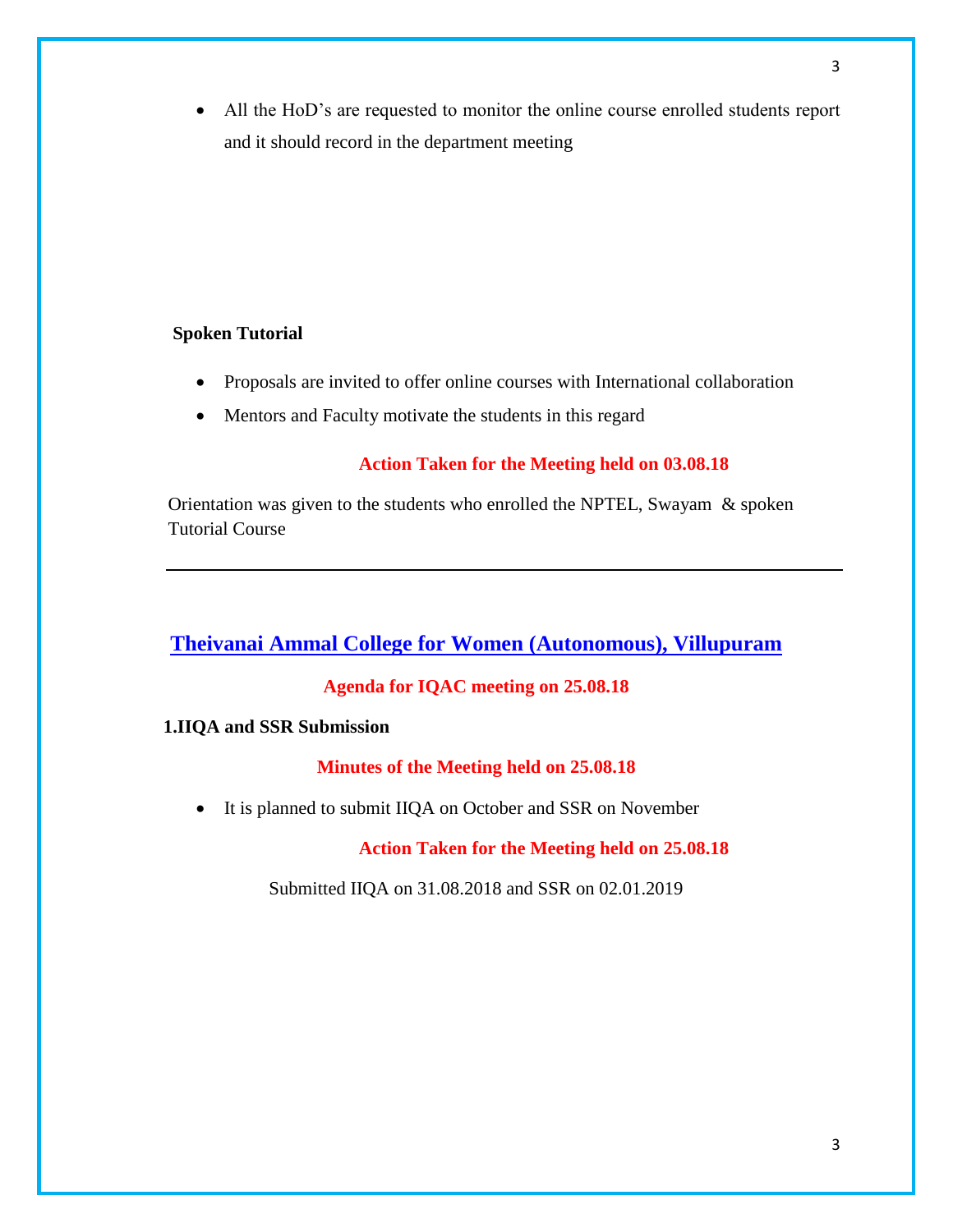All the HoD's are requested to monitor the online course enrolled students report and it should record in the department meeting

# **Spoken Tutorial**

- Proposals are invited to offer online courses with International collaboration
- Mentors and Faculty motivate the students in this regard

### **Action Taken for the Meeting held on 03.08.18**

Orientation was given to the students who enrolled the NPTEL, Swayam & spoken Tutorial Course

# **Theivanai Ammal College for Women (Autonomous), Villupuram**

### **Agenda for IQAC meeting on 25.08.18**

#### **1.IIQA and SSR Submission**

#### **Minutes of the Meeting held on 25.08.18**

• It is planned to submit IIQA on October and SSR on November

 **Action Taken for the Meeting held on 25.08.18**

Submitted IIQA on 31.08.2018 and SSR on 02.01.2019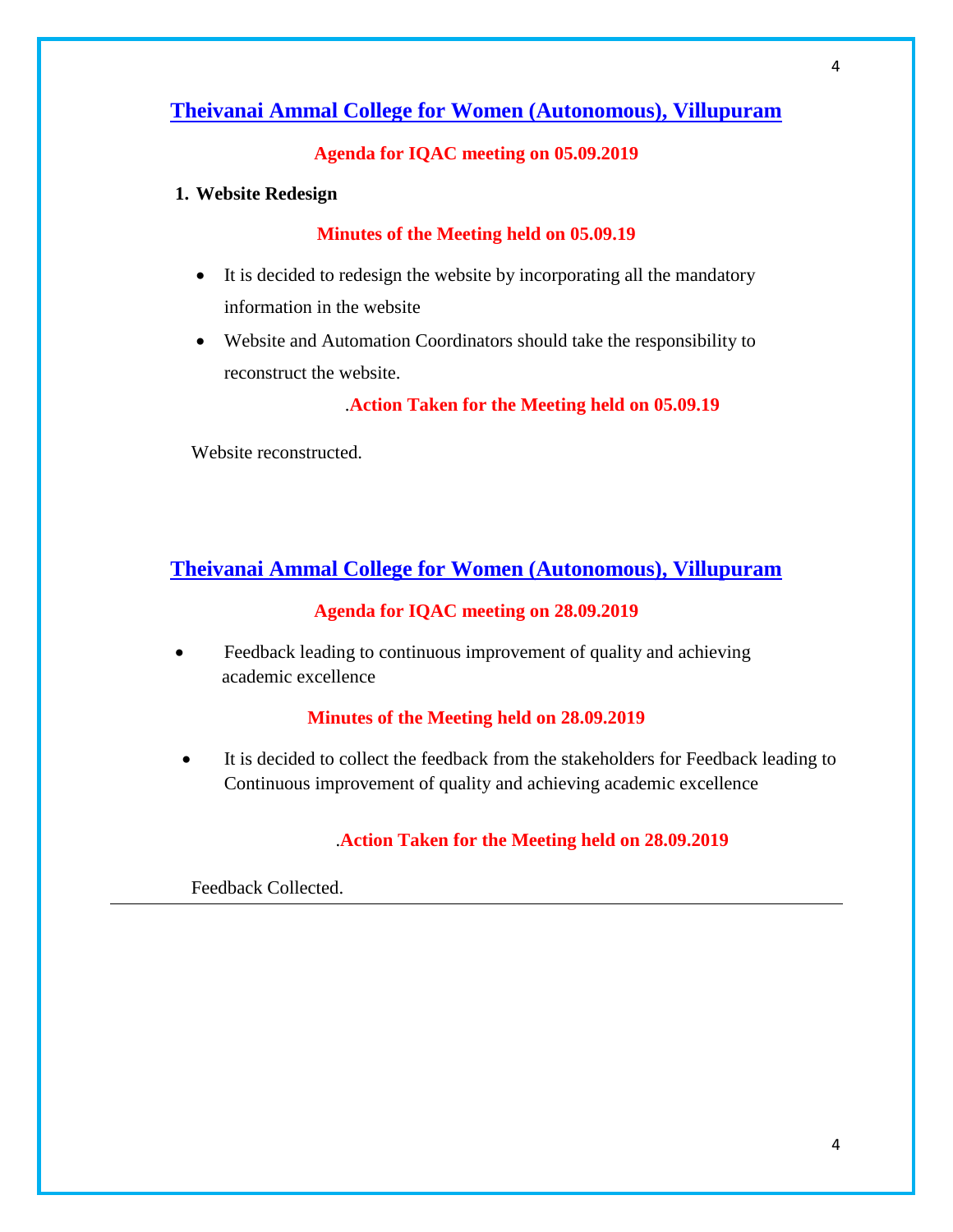# **Agenda for IQAC meeting on 05.09.2019**

#### **1. Website Redesign**

#### **Minutes of the Meeting held on 05.09.19**

- It is decided to redesign the website by incorporating all the mandatory information in the website
- Website and Automation Coordinators should take the responsibility to reconstruct the website.

.**Action Taken for the Meeting held on 05.09.19**

Website reconstructed.

# **Theivanai Ammal College for Women (Autonomous), Villupuram**

#### **Agenda for IQAC meeting on 28.09.2019**

 Feedback leading to continuous improvement of quality and achieving academic excellence

#### **Minutes of the Meeting held on 28.09.2019**

 It is decided to collect the feedback from the stakeholders for Feedback leading to Continuous improvement of quality and achieving academic excellence

### .**Action Taken for the Meeting held on 28.09.2019**

Feedback Collected.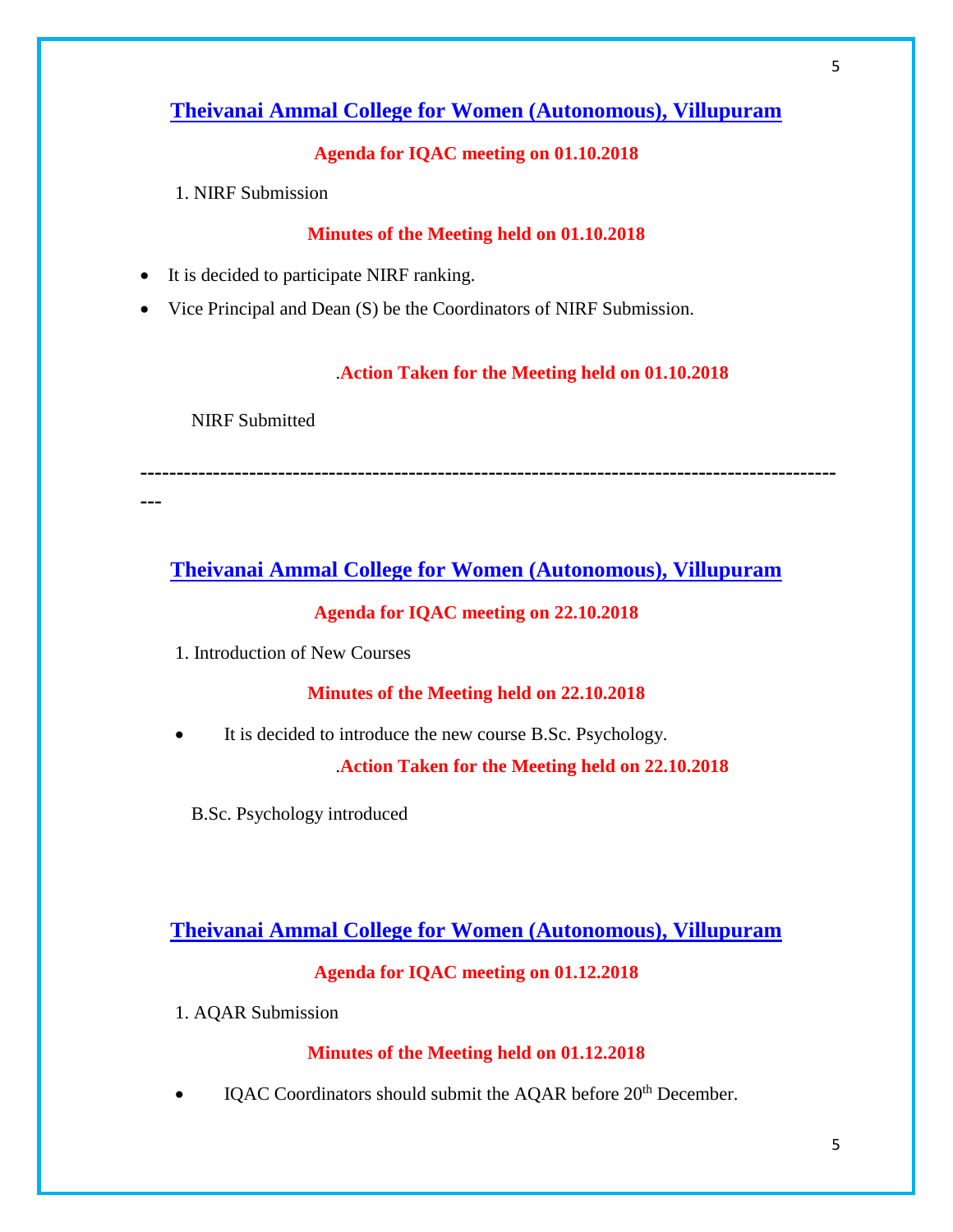# **Agenda for IQAC meeting on 01.10.2018**

1. NIRF Submission

## **Minutes of the Meeting held on 01.10.2018**

- It is decided to participate NIRF ranking.
- Vice Principal and Dean (S) be the Coordinators of NIRF Submission.

#### .**Action Taken for the Meeting held on 01.10.2018**

NIRF Submitted

**------------------------------------------------------------------------------------------------**

**---**

# **Theivanai Ammal College for Women (Autonomous), Villupuram**

### **Agenda for IQAC meeting on 22.10.2018**

1. Introduction of New Courses

## **Minutes of the Meeting held on 22.10.2018**

It is decided to introduce the new course B.Sc. Psychology.

.**Action Taken for the Meeting held on 22.10.2018**

B.Sc. Psychology introduced

# **Theivanai Ammal College for Women (Autonomous), Villupuram**

### **Agenda for IQAC meeting on 01.12.2018**

1. AQAR Submission

### **Minutes of the Meeting held on 01.12.2018**

IQAC Coordinators should submit the AQAR before 20<sup>th</sup> December.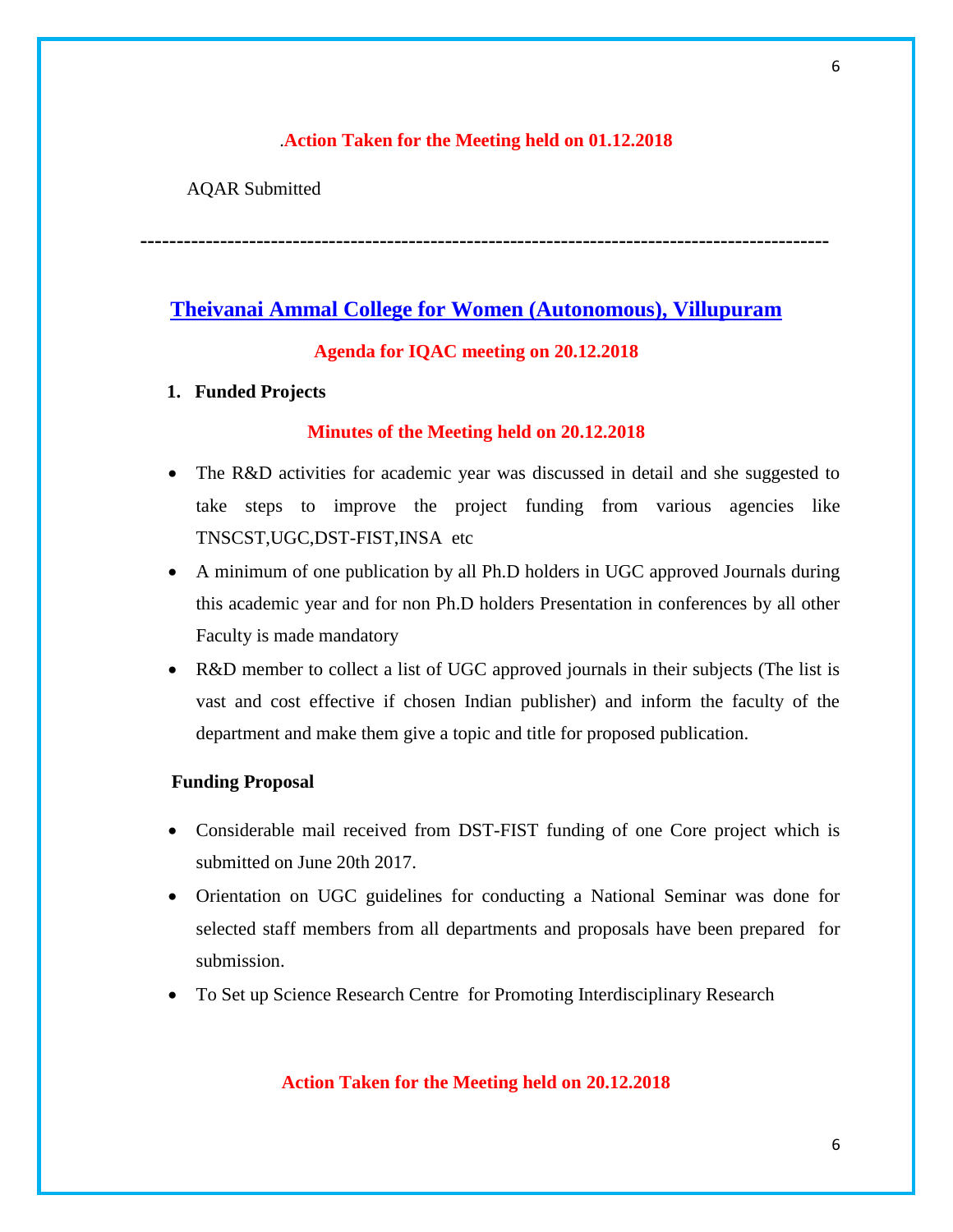### .**Action Taken for the Meeting held on 01.12.2018**

AQAR Submitted

**-----------------------------------------------------------------------------------------------**

# **Theivanai Ammal College for Women (Autonomous), Villupuram**

#### **Agenda for IQAC meeting on 20.12.2018**

#### **1. Funded Projects**

#### **Minutes of the Meeting held on 20.12.2018**

- The R&D activities for academic year was discussed in detail and she suggested to take steps to improve the project funding from various agencies like TNSCST,UGC,DST-FIST,INSA etc
- A minimum of one publication by all Ph.D holders in UGC approved Journals during this academic year and for non Ph.D holders Presentation in conferences by all other Faculty is made mandatory
- R&D member to collect a list of UGC approved journals in their subjects (The list is vast and cost effective if chosen Indian publisher) and inform the faculty of the department and make them give a topic and title for proposed publication.

#### **Funding Proposal**

- Considerable mail received from DST-FIST funding of one Core project which is submitted on June 20th 2017.
- Orientation on UGC guidelines for conducting a National Seminar was done for selected staff members from all departments and proposals have been prepared for submission.
- To Set up Science Research Centre for Promoting Interdisciplinary Research

#### **Action Taken for the Meeting held on 20.12.2018**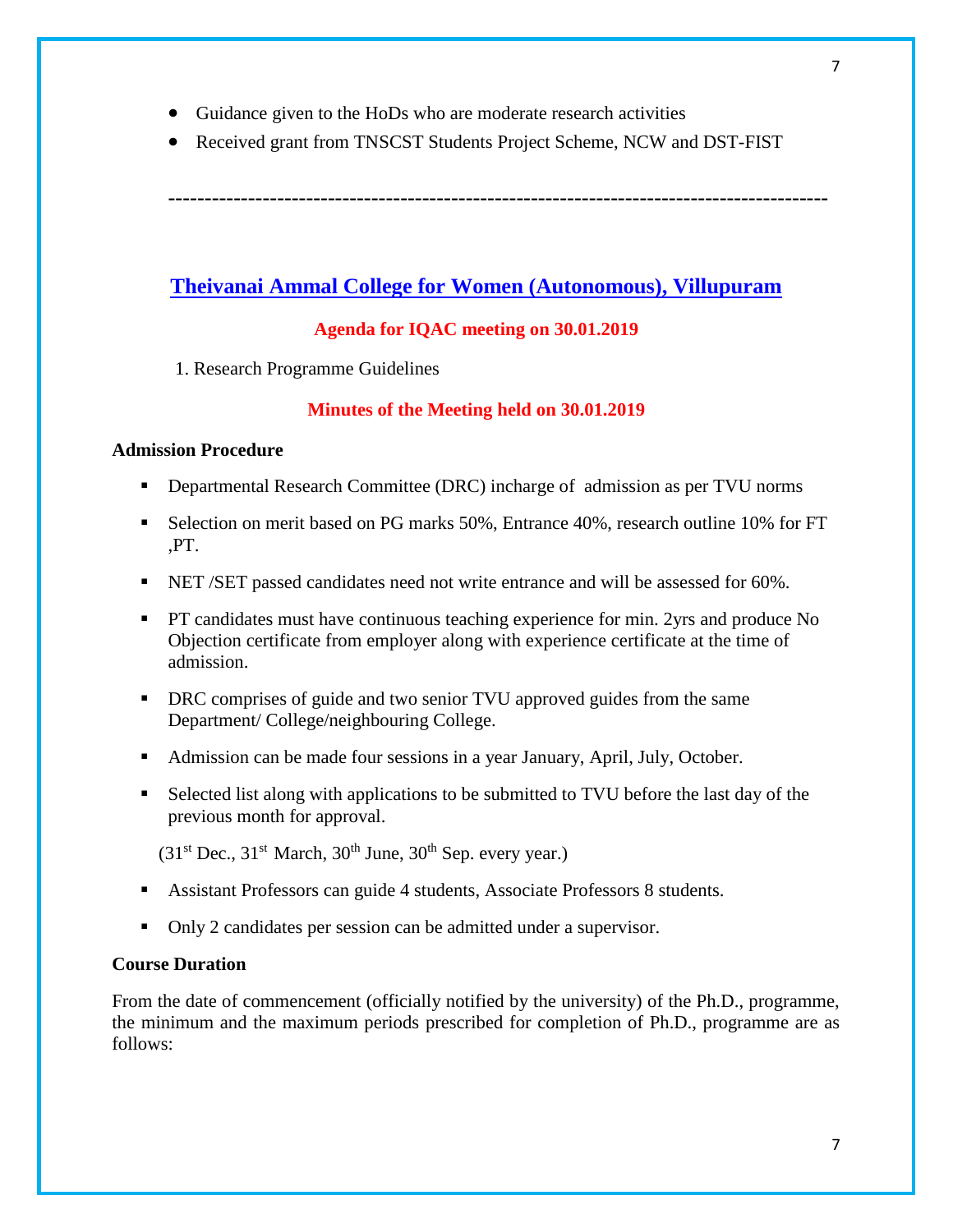- Guidance given to the HoDs who are moderate research activities
- Received grant from TNSCST Students Project Scheme, NCW and DST-FIST

**-------------------------------------------------------------------------------------------**

# **Theivanai Ammal College for Women (Autonomous), Villupuram**

# **Agenda for IQAC meeting on 30.01.2019**

1. Research Programme Guidelines

### **Minutes of the Meeting held on 30.01.2019**

#### **Admission Procedure**

- Departmental Research Committee (DRC) incharge of admission as per TVU norms
- Selection on merit based on PG marks 50%, Entrance 40%, research outline 10% for FT ,PT.
- NET /SET passed candidates need not write entrance and will be assessed for 60%.
- PT candidates must have continuous teaching experience for min. 2yrs and produce No Objection certificate from employer along with experience certificate at the time of admission.
- **DRC** comprises of guide and two senior TVU approved guides from the same Department/ College/neighbouring College.
- Admission can be made four sessions in a year January, April, July, October.
- Selected list along with applications to be submitted to TVU before the last day of the previous month for approval.

 $(31<sup>st</sup>$  Dec.,  $31<sup>st</sup>$  March,  $30<sup>th</sup>$  June,  $30<sup>th</sup>$  Sep. every year.)

- Assistant Professors can guide 4 students, Associate Professors 8 students.
- Only 2 candidates per session can be admitted under a supervisor.

### **Course Duration**

From the date of commencement (officially notified by the university) of the Ph.D., programme, the minimum and the maximum periods prescribed for completion of Ph.D., programme are as follows: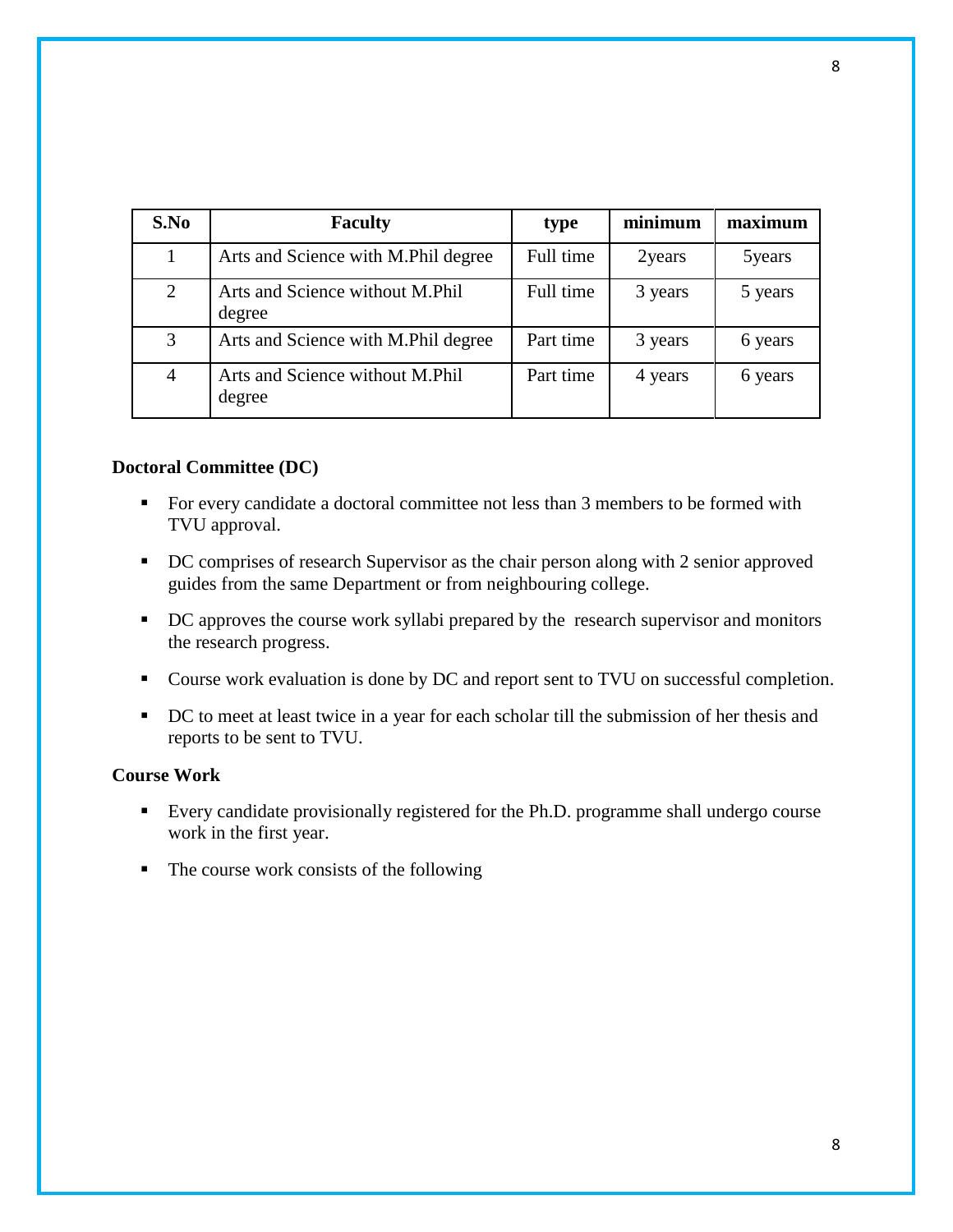| S.No | <b>Faculty</b>                            | type      | minimum | maximum |
|------|-------------------------------------------|-----------|---------|---------|
| 1    | Arts and Science with M.Phil degree       | Full time | 2years  | 5years  |
| 2    | Arts and Science without M.Phil<br>degree | Full time | 3 years | 5 years |
| 3    | Arts and Science with M.Phil degree       | Part time | 3 years | 6 years |
| 4    | Arts and Science without M.Phil<br>degree | Part time | 4 years | 6 years |

#### **Doctoral Committee (DC)**

- For every candidate a doctoral committee not less than 3 members to be formed with TVU approval.
- DC comprises of research Supervisor as the chair person along with 2 senior approved guides from the same Department or from neighbouring college.
- DC approves the course work syllabi prepared by the research supervisor and monitors the research progress.
- Course work evaluation is done by DC and report sent to TVU on successful completion.
- DC to meet at least twice in a year for each scholar till the submission of her thesis and reports to be sent to TVU.

#### **Course Work**

- Every candidate provisionally registered for the Ph.D. programme shall undergo course work in the first year.
- $\blacksquare$  The course work consists of the following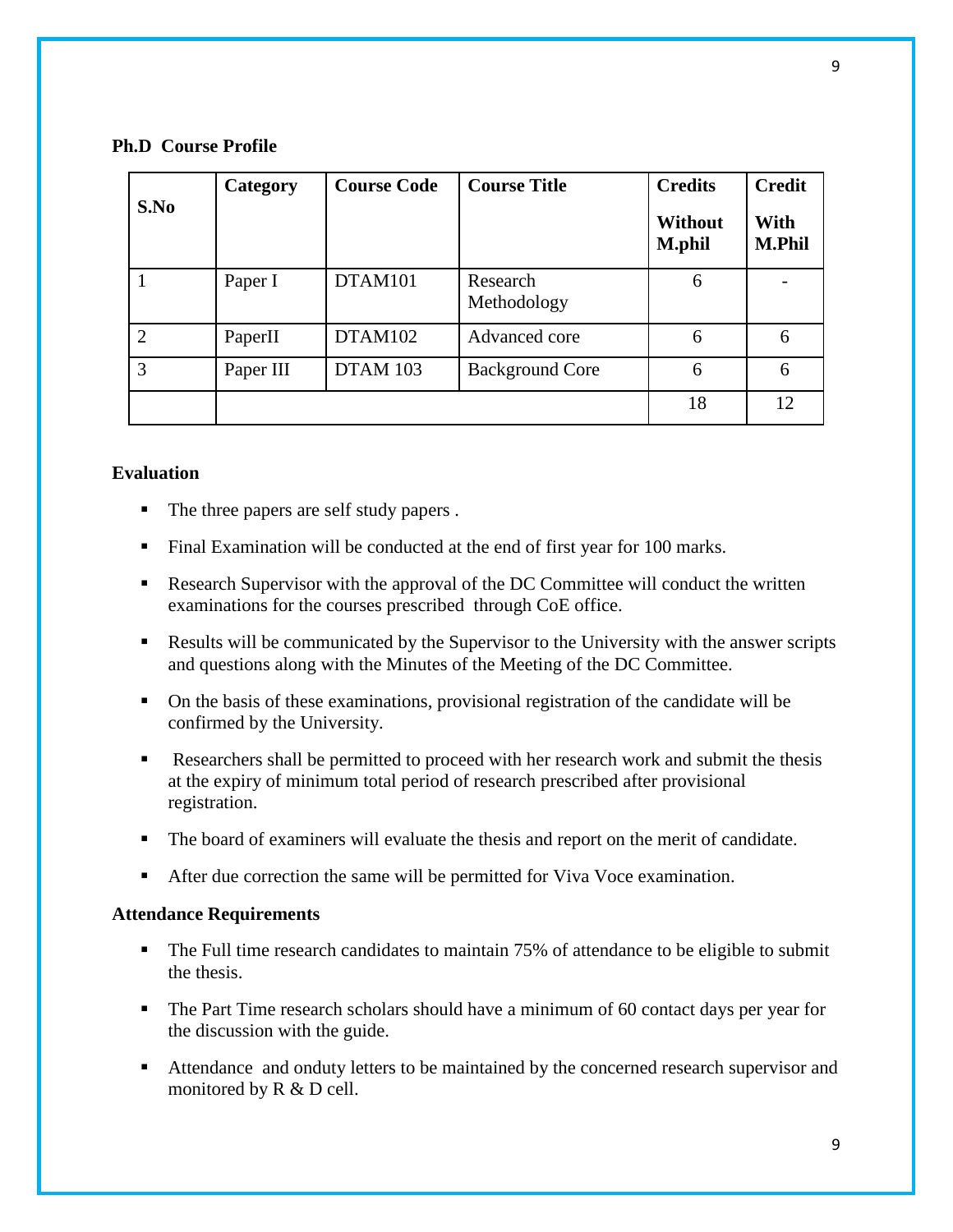#### **Ph.D Course Profile**

| S.No           | Category  | <b>Course Code</b> | <b>Course Title</b>     | <b>Credits</b><br><b>Without</b><br><b>M.phil</b> | <b>Credit</b><br>With<br><b>M.Phil</b> |
|----------------|-----------|--------------------|-------------------------|---------------------------------------------------|----------------------------------------|
|                | Paper I   | DTAM101            | Research<br>Methodology | 6                                                 |                                        |
| $\overline{2}$ | PaperII   | DTAM102            | Advanced core           | 6                                                 | 6                                      |
| 3              | Paper III | <b>DTAM 103</b>    | <b>Background Core</b>  | 6                                                 | 6                                      |
|                |           |                    |                         | 18                                                | 12                                     |

### **Evaluation**

- The three papers are self study papers.
- Final Examination will be conducted at the end of first year for 100 marks.
- Research Supervisor with the approval of the DC Committee will conduct the written examinations for the courses prescribed through CoE office.
- Results will be communicated by the Supervisor to the University with the answer scripts and questions along with the Minutes of the Meeting of the DC Committee.
- On the basis of these examinations, provisional registration of the candidate will be confirmed by the University.
- Researchers shall be permitted to proceed with her research work and submit the thesis at the expiry of minimum total period of research prescribed after provisional registration.
- The board of examiners will evaluate the thesis and report on the merit of candidate.
- After due correction the same will be permitted for Viva Voce examination.

#### **Attendance Requirements**

- The Full time research candidates to maintain 75% of attendance to be eligible to submit the thesis.
- The Part Time research scholars should have a minimum of 60 contact days per year for the discussion with the guide.
- Attendance and onduty letters to be maintained by the concerned research supervisor and monitored by R & D cell.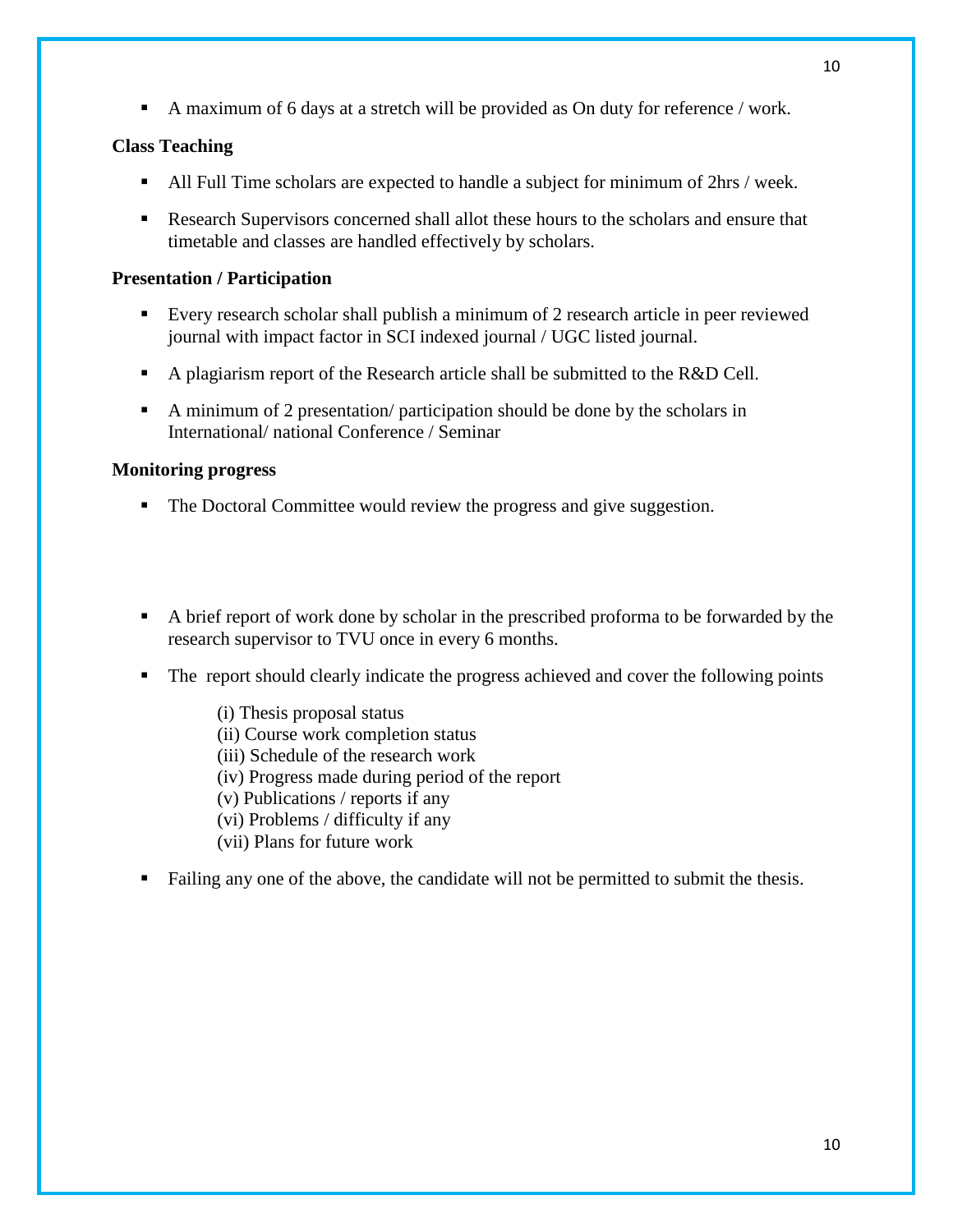A maximum of 6 days at a stretch will be provided as On duty for reference / work.

# **Class Teaching**

- All Full Time scholars are expected to handle a subject for minimum of 2hrs / week.
- Research Supervisors concerned shall allot these hours to the scholars and ensure that timetable and classes are handled effectively by scholars.

# **Presentation / Participation**

- Every research scholar shall publish a minimum of 2 research article in peer reviewed journal with impact factor in SCI indexed journal / UGC listed journal.
- A plagiarism report of the Research article shall be submitted to the R&D Cell.
- A minimum of 2 presentation/ participation should be done by the scholars in International/ national Conference / Seminar

# **Monitoring progress**

- The Doctoral Committee would review the progress and give suggestion.
- A brief report of work done by scholar in the prescribed proforma to be forwarded by the research supervisor to TVU once in every 6 months.
- The report should clearly indicate the progress achieved and cover the following points
	- (i) Thesis proposal status (ii) Course work completion status
	- (iii) Schedule of the research work
	- (iv) Progress made during period of the report
	- (v) Publications / reports if any
	- (vi) Problems / difficulty if any
	- (vii) Plans for future work
- Failing any one of the above, the candidate will not be permitted to submit the thesis.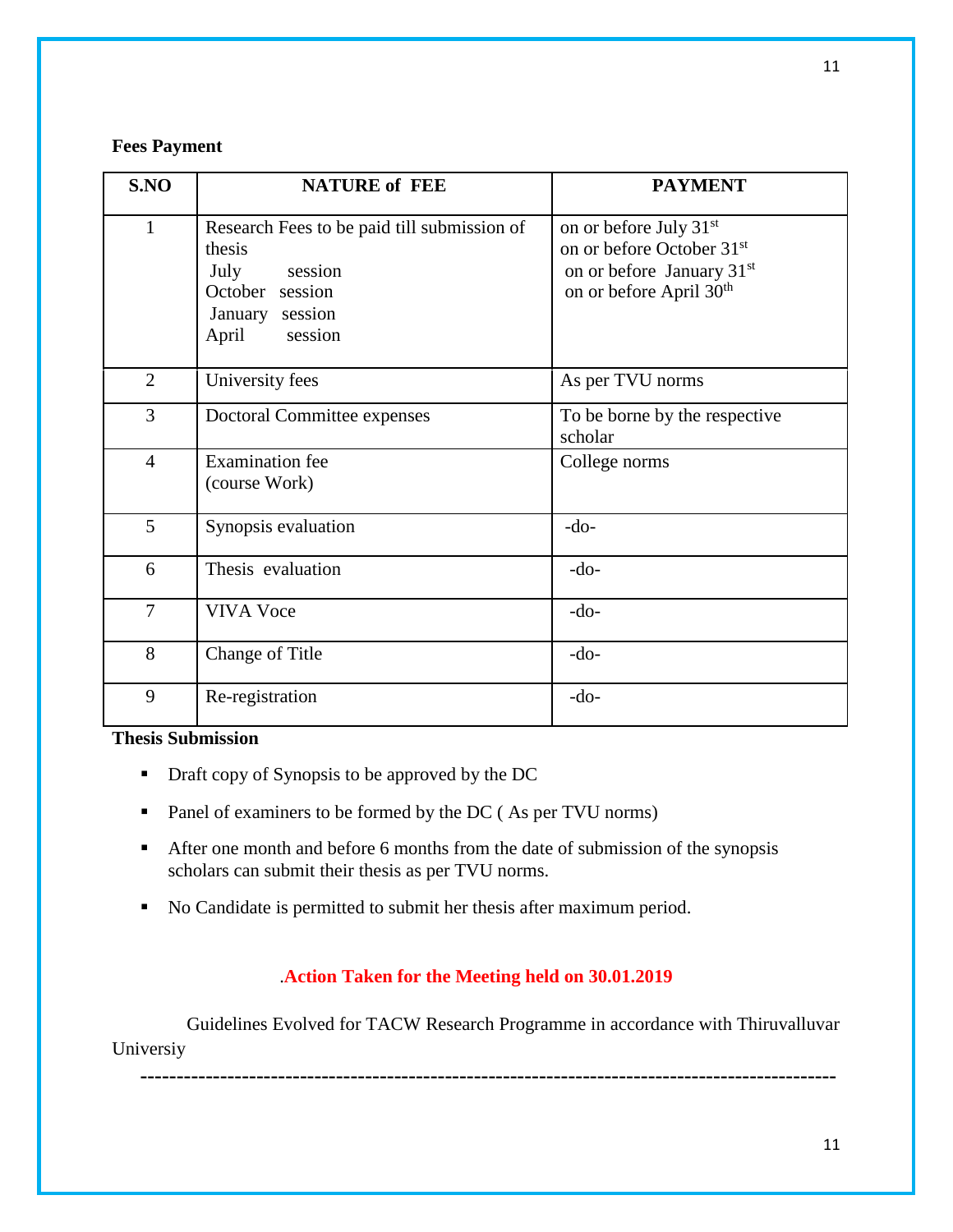### **Fees Payment**

| S.NO           | <b>NATURE of FEE</b>                                                                                                               | <b>PAYMENT</b>                                                                                                                                              |
|----------------|------------------------------------------------------------------------------------------------------------------------------------|-------------------------------------------------------------------------------------------------------------------------------------------------------------|
| $\mathbf{1}$   | Research Fees to be paid till submission of<br>thesis<br>July<br>session<br>October session<br>January session<br>session<br>April | on or before July 31 <sup>st</sup><br>on or before October 31 <sup>st</sup><br>on or before January 31 <sup>st</sup><br>on or before April 30 <sup>th</sup> |
| $\overline{2}$ | University fees                                                                                                                    | As per TVU norms                                                                                                                                            |
| 3              | Doctoral Committee expenses                                                                                                        | To be borne by the respective<br>scholar                                                                                                                    |
| $\overline{4}$ | <b>Examination</b> fee<br>(course Work)                                                                                            | College norms                                                                                                                                               |
| 5              | Synopsis evaluation                                                                                                                | $-do-$                                                                                                                                                      |
| 6              | Thesis evaluation                                                                                                                  | $-do-$                                                                                                                                                      |
| 7              | <b>VIVA Voce</b>                                                                                                                   | $-do-$                                                                                                                                                      |
| 8              | Change of Title                                                                                                                    | $-do-$                                                                                                                                                      |
| 9              | Re-registration                                                                                                                    | $-do-$                                                                                                                                                      |

# **Thesis Submission**

- Draft copy of Synopsis to be approved by the DC
- Panel of examiners to be formed by the DC (As per TVU norms)
- After one month and before 6 months from the date of submission of the synopsis scholars can submit their thesis as per TVU norms.
- No Candidate is permitted to submit her thesis after maximum period.

# .**Action Taken for the Meeting held on 30.01.2019**

 Guidelines Evolved for TACW Research Programme in accordance with Thiruvalluvar Universiy

**------------------------------------------------------------------------------------------------**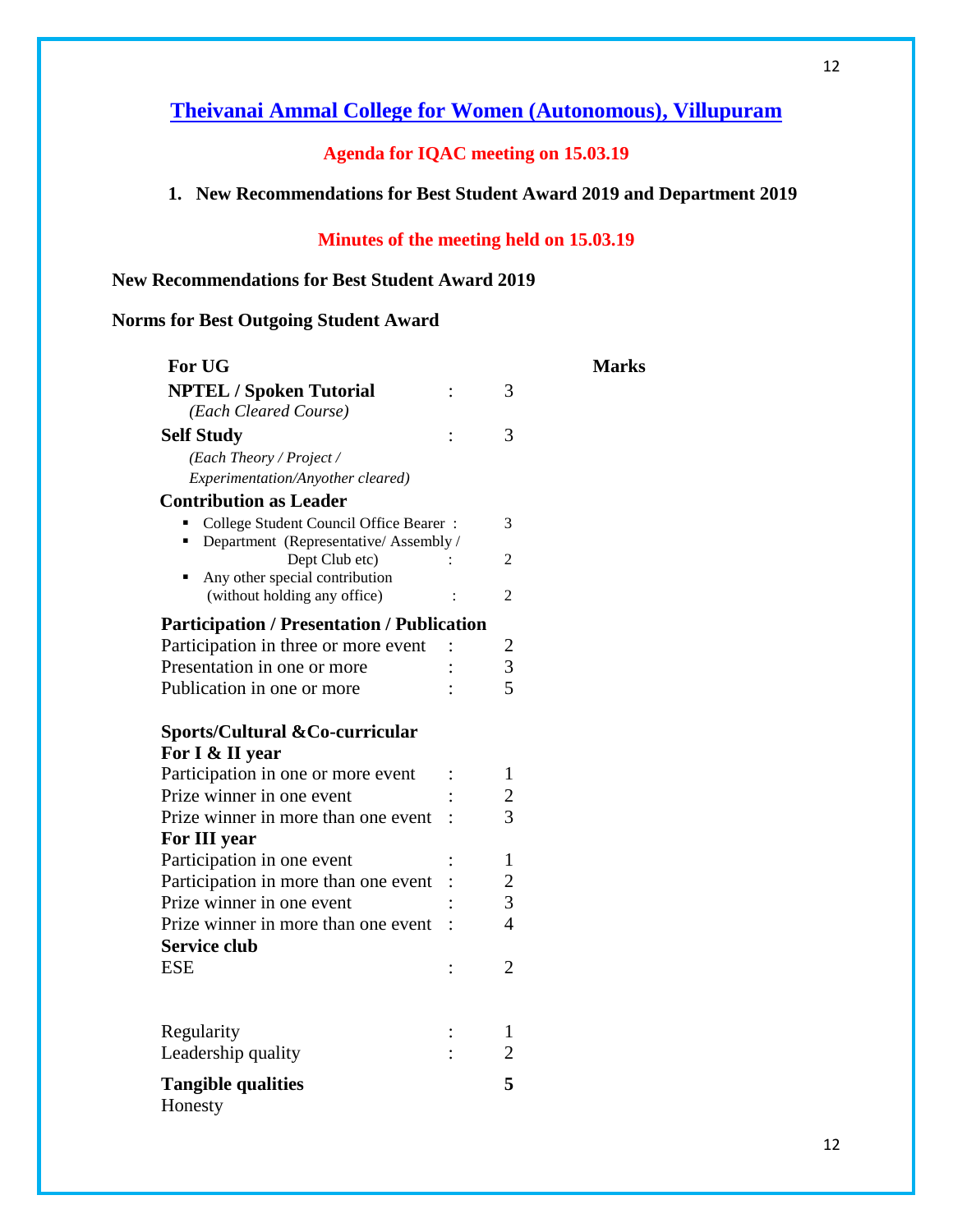# **Agenda for IQAC meeting on 15.03.19**

# **1. New Recommendations for Best Student Award 2019 and Department 2019**

# **Minutes of the meeting held on 15.03.19**

**Marks** 

# **New Recommendations for Best Student Award 2019**

# **Norms for Best Outgoing Student Award**

| For UG                                                                         |  | Ma                      |  |
|--------------------------------------------------------------------------------|--|-------------------------|--|
| <b>NPTEL / Spoken Tutorial</b>                                                 |  | 3                       |  |
| (Each Cleared Course)                                                          |  |                         |  |
| <b>Self Study</b>                                                              |  | 3                       |  |
| (Each Theory / Project /                                                       |  |                         |  |
| Experimentation/Anyother cleared)                                              |  |                         |  |
| <b>Contribution as Leader</b>                                                  |  |                         |  |
| College Student Council Office Bearer:<br>Department (Representative/Assembly/ |  | 3                       |  |
| Dept Club etc)                                                                 |  | 2                       |  |
| Any other special contribution                                                 |  |                         |  |
| (without holding any office)                                                   |  | $\overline{2}$          |  |
| <b>Participation / Presentation / Publication</b>                              |  |                         |  |
| Participation in three or more event                                           |  | $\overline{\mathbf{c}}$ |  |
| Presentation in one or more                                                    |  | $\overline{3}$          |  |
| Publication in one or more                                                     |  | 5                       |  |
| Sports/Cultural & Co-curricular                                                |  |                         |  |
| For I & II year                                                                |  |                         |  |
| Participation in one or more event                                             |  | 1                       |  |
| Prize winner in one event                                                      |  | 2                       |  |
| Prize winner in more than one event                                            |  | 3                       |  |
| For III year                                                                   |  |                         |  |
| Participation in one event                                                     |  | $\mathbf{1}$            |  |
| Participation in more than one event                                           |  | $\overline{c}$          |  |
| Prize winner in one event                                                      |  | 3                       |  |
| Prize winner in more than one event                                            |  | $\overline{4}$          |  |
| <b>Service club</b>                                                            |  |                         |  |
| <b>ESE</b>                                                                     |  | $\overline{2}$          |  |
|                                                                                |  |                         |  |
| Regularity                                                                     |  | 1                       |  |
| Leadership quality                                                             |  | $\overline{2}$          |  |
|                                                                                |  |                         |  |
| <b>Tangible qualities</b><br>Honesty                                           |  | 5                       |  |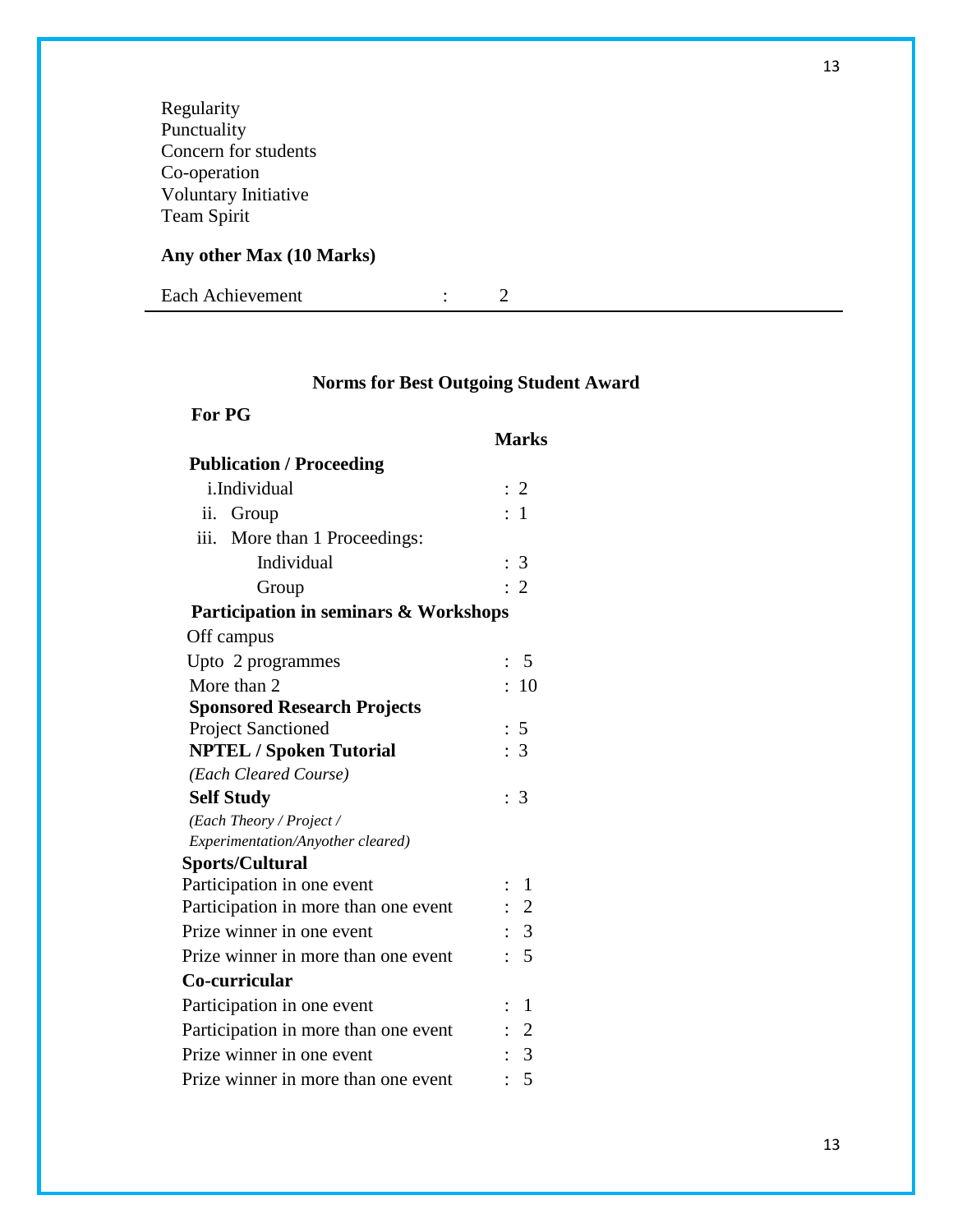Regularity Punctuality Concern for students Co-operation Voluntary Initiative Team Spirit

# **Any other Max (10 Marks)**

Each Achievement : 2

# **Norms for Best Outgoing Student Award**

# **Marks**

| <b>Publication / Proceeding</b>       |                |                |
|---------------------------------------|----------------|----------------|
| i.Individual                          |                | $\colon 2$     |
| ii. Group                             |                | : 1            |
| iii.<br>More than 1 Proceedings:      |                |                |
| Individual                            |                | : 3            |
| Group                                 |                | $\cdot$ 2      |
| Participation in seminars & Workshops |                |                |
| Off campus                            |                |                |
| Upto 2 programmes                     |                | - 5            |
| More than 2                           |                | :10            |
| <b>Sponsored Research Projects</b>    |                |                |
| <b>Project Sanctioned</b>             |                | : 5            |
| <b>NPTEL / Spoken Tutorial</b>        |                | $\therefore$ 3 |
| (Each Cleared Course)                 |                |                |
| <b>Self Study</b>                     |                | $\colon$ 3     |
| (Each Theory / Project /              |                |                |
| Experimentation/Anyother cleared)     |                |                |
| <b>Sports/Cultural</b>                |                |                |
| Participation in one event            | $\ddot{\cdot}$ | 1              |
| Participation in more than one event  |                | $\therefore$ 2 |
| Prize winner in one event             |                | : 3            |
| Prize winner in more than one event   |                | $\therefore$ 5 |
| Co-curricular                         |                |                |
| Participation in one event            | $\ddot{\cdot}$ | 1              |
| Participation in more than one event  |                | $\therefore$ 2 |
| Prize winner in one event             |                | $\therefore$ 3 |
| Prize winner in more than one event   |                | 5              |
|                                       |                |                |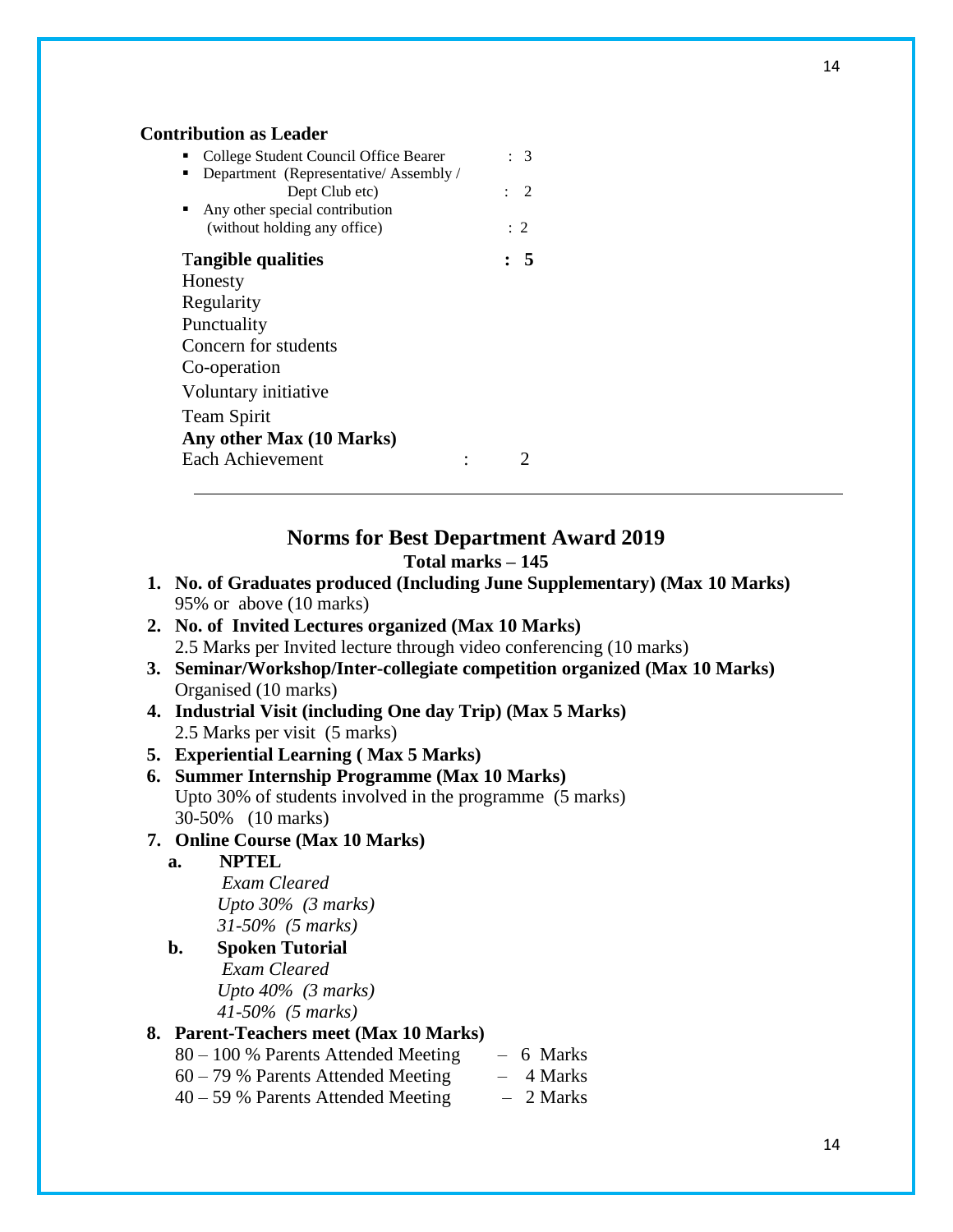#### **Contribution as Leader**

| College Student Council Office Bearer | $\cdot$ 3      |
|---------------------------------------|----------------|
| Department (Representative/Assembly/  |                |
| Dept Club etc)                        | $\therefore$ 2 |
| Any other special contribution        |                |
| (without holding any office)          | $\colon 2$     |
| <b>Tangible qualities</b>             | : 5            |
| Honesty                               |                |
| Regularity                            |                |
| Punctuality                           |                |
| Concern for students                  |                |
| Co-operation                          |                |
| Voluntary initiative                  |                |
| <b>Team Spirit</b>                    |                |
| Any other Max (10 Marks)              |                |
| Each Achievement                      |                |

#### **Norms for Best Department Award 2019 Total marks – 145**

- **1. No. of Graduates produced (Including June Supplementary) (Max 10 Marks)** 95% or above (10 marks)
- **2. No. of Invited Lectures organized (Max 10 Marks)** 2.5 Marks per Invited lecture through video conferencing (10 marks)
- **3. Seminar/Workshop/Inter-collegiate competition organized (Max 10 Marks)** Organised (10 marks)
- **4. Industrial Visit (including One day Trip) (Max 5 Marks)** 2.5 Marks per visit (5 marks)

### **5. Experiential Learning ( Max 5 Marks)**

**6. Summer Internship Programme (Max 10 Marks)** Upto 30% of students involved in the programme (5 marks) 30-50% (10 marks)

# **7. Online Course (Max 10 Marks)**

### **a. NPTEL**

*Exam Cleared Upto 30% (3 marks) 31-50% (5 marks)*

**b. Spoken Tutorial**  *Exam Cleared Upto 40% (3 marks) 41-50% (5 marks)*

# **8. Parent-Teachers meet (Max 10 Marks)**

- 80 100 % Parents Attended Meeting 6 Marks
- $60 79$  % Parents Attended Meeting  $-4$  Marks
- $40 59$  % Parents Attended Meeting  $-2$  Marks